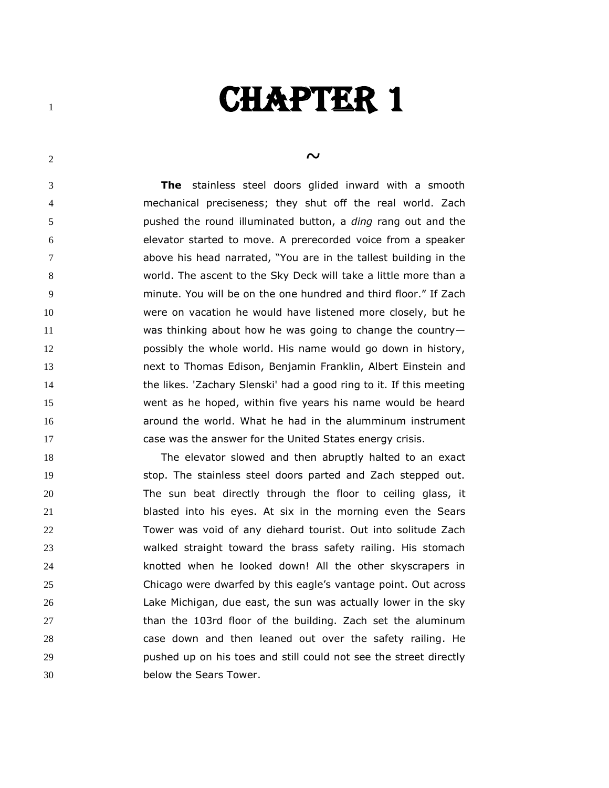## **CHAPTER 1**

## $\sim$   $\sim$

 **The** stainless steel doors glided inward with a smooth mechanical preciseness; they shut off the real world. Zach pushed the round illuminated button, a *ding* rang out and the elevator started to move. A prerecorded voice from a speaker above his head narrated, "You are in the tallest building in the world. The ascent to the Sky Deck will take a little more than a minute. You will be on the one hundred and third floor." If Zach were on vacation he would have listened more closely, but he was thinking about how he was going to change the country— possibly the whole world. His name would go down in history, next to Thomas Edison, Benjamin Franklin, Albert Einstein and the likes. 'Zachary Slenski' had a good ring to it. If this meeting went as he hoped, within five years his name would be heard around the world. What he had in the alumminum instrument case was the answer for the United States energy crisis.

 The elevator slowed and then abruptly halted to an exact stop. The stainless steel doors parted and Zach stepped out. The sun beat directly through the floor to ceiling glass, it blasted into his eyes. At six in the morning even the Sears Tower was void of any diehard tourist. Out into solitude Zach walked straight toward the brass safety railing. His stomach knotted when he looked down! All the other skyscrapers in Chicago were dwarfed by this eagle's vantage point. Out across Lake Michigan, due east, the sun was actually lower in the sky 27 than the 103rd floor of the building. Zach set the aluminum case down and then leaned out over the safety railing. He pushed up on his toes and still could not see the street directly below the Sears Tower.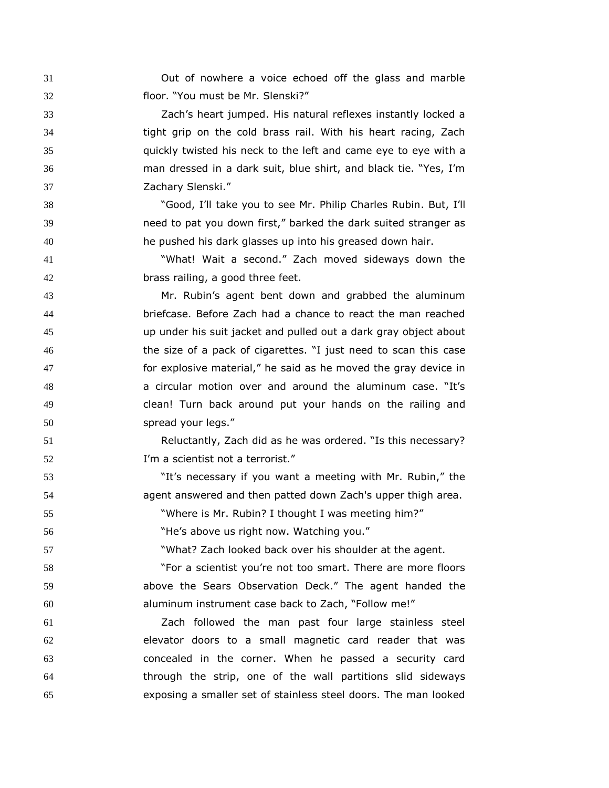Out of nowhere a voice echoed off the glass and marble floor. "You must be Mr. Slenski?"

 Zach's heart jumped. His natural reflexes instantly locked a tight grip on the cold brass rail. With his heart racing, Zach quickly twisted his neck to the left and came eye to eye with a man dressed in a dark suit, blue shirt, and black tie. "Yes, I'm Zachary Slenski."

 "Good, I'll take you to see Mr. Philip Charles Rubin. But, I'll need to pat you down first," barked the dark suited stranger as he pushed his dark glasses up into his greased down hair.

 "What! Wait a second." Zach moved sideways down the brass railing, a good three feet.

 Mr. Rubin's agent bent down and grabbed the aluminum briefcase. Before Zach had a chance to react the man reached up under his suit jacket and pulled out a dark gray object about the size of a pack of cigarettes. "I just need to scan this case for explosive material," he said as he moved the gray device in a circular motion over and around the aluminum case. "It's clean! Turn back around put your hands on the railing and spread your legs."

 Reluctantly, Zach did as he was ordered. "Is this necessary? I'm a scientist not a terrorist."

 "It's necessary if you want a meeting with Mr. Rubin," the agent answered and then patted down Zach's upper thigh area.

"Where is Mr. Rubin? I thought I was meeting him?"

"He's above us right now. Watching you."

"What? Zach looked back over his shoulder at the agent.

 "For a scientist you're not too smart. There are more floors above the Sears Observation Deck." The agent handed the aluminum instrument case back to Zach, "Follow me!"

 Zach followed the man past four large stainless steel elevator doors to a small magnetic card reader that was concealed in the corner. When he passed a security card through the strip, one of the wall partitions slid sideways exposing a smaller set of stainless steel doors. The man looked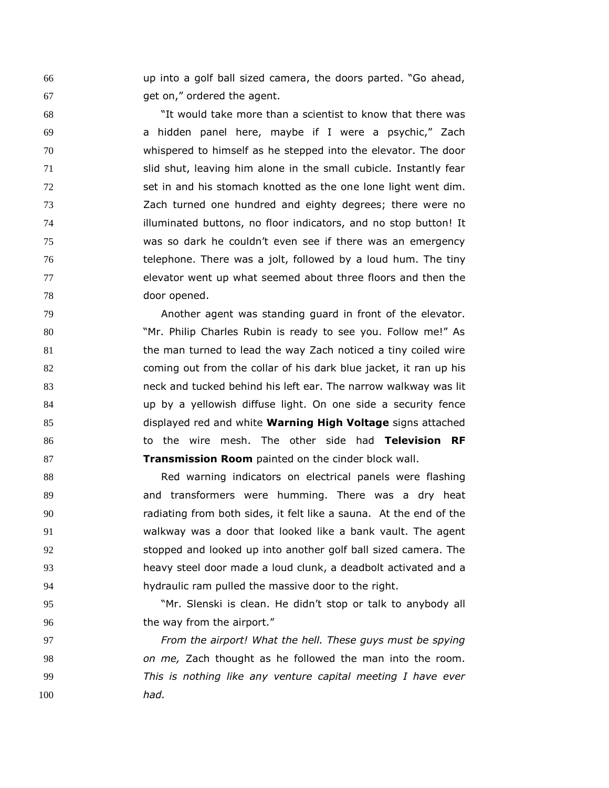up into a golf ball sized camera, the doors parted. "Go ahead, get on," ordered the agent.

 "It would take more than a scientist to know that there was a hidden panel here, maybe if I were a psychic," Zach whispered to himself as he stepped into the elevator. The door slid shut, leaving him alone in the small cubicle. Instantly fear set in and his stomach knotted as the one lone light went dim. Zach turned one hundred and eighty degrees; there were no illuminated buttons, no floor indicators, and no stop button! It was so dark he couldn't even see if there was an emergency telephone. There was a jolt, followed by a loud hum. The tiny elevator went up what seemed about three floors and then the door opened.

 Another agent was standing guard in front of the elevator. "Mr. Philip Charles Rubin is ready to see you. Follow me!" As 81 the man turned to lead the way Zach noticed a tiny coiled wire coming out from the collar of his dark blue jacket, it ran up his neck and tucked behind his left ear. The narrow walkway was lit up by a yellowish diffuse light. On one side a security fence displayed red and white **Warning High Voltage** signs attached to the wire mesh. The other side had **Television RF Transmission Room** painted on the cinder block wall.

 Red warning indicators on electrical panels were flashing and transformers were humming. There was a dry heat radiating from both sides, it felt like a sauna. At the end of the walkway was a door that looked like a bank vault. The agent stopped and looked up into another golf ball sized camera. The heavy steel door made a loud clunk, a deadbolt activated and a hydraulic ram pulled the massive door to the right.

 "Mr. Slenski is clean. He didn't stop or talk to anybody all 96 the way from the airport."

 *From the airport! What the hell. These guys must be spying on me,* Zach thought as he followed the man into the room. *This is nothing like any venture capital meeting I have ever had.*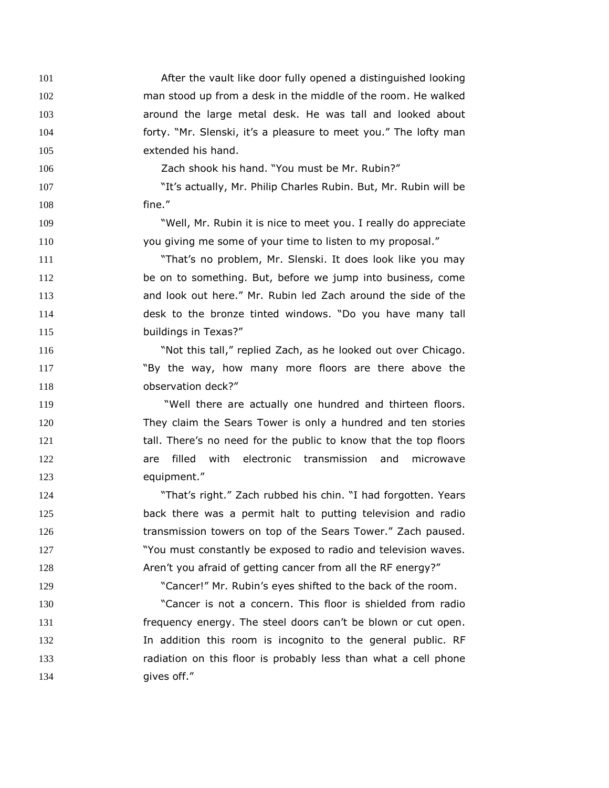After the vault like door fully opened a distinguished looking man stood up from a desk in the middle of the room. He walked around the large metal desk. He was tall and looked about forty. "Mr. Slenski, it's a pleasure to meet you." The lofty man extended his hand.

Zach shook his hand. "You must be Mr. Rubin?"

 "It's actually, Mr. Philip Charles Rubin. But, Mr. Rubin will be **fine.**"

 "Well, Mr. Rubin it is nice to meet you. I really do appreciate you giving me some of your time to listen to my proposal."

 "That's no problem, Mr. Slenski. It does look like you may be on to something. But, before we jump into business, come and look out here." Mr. Rubin led Zach around the side of the desk to the bronze tinted windows. "Do you have many tall 115 buildings in Texas?"

116 "Not this tall," replied Zach, as he looked out over Chicago. "By the way, how many more floors are there above the 118 observation deck?"

**The Cove Well there are actually one hundred and thirteen floors.**  They claim the Sears Tower is only a hundred and ten stories 121 tall. There's no need for the public to know that the top floors are filled with electronic transmission and microwave equipment."

 "That's right." Zach rubbed his chin. "I had forgotten. Years back there was a permit halt to putting television and radio **transmission towers on top of the Sears Tower.**" Zach paused. **The Constantly be exposed to radio and television waves. Aren't you afraid of getting cancer from all the RF energy?"** 

"Cancer!" Mr. Rubin's eyes shifted to the back of the room.

 "Cancer is not a concern. This floor is shielded from radio frequency energy. The steel doors can't be blown or cut open. In addition this room is incognito to the general public. RF radiation on this floor is probably less than what a cell phone 134 gives off."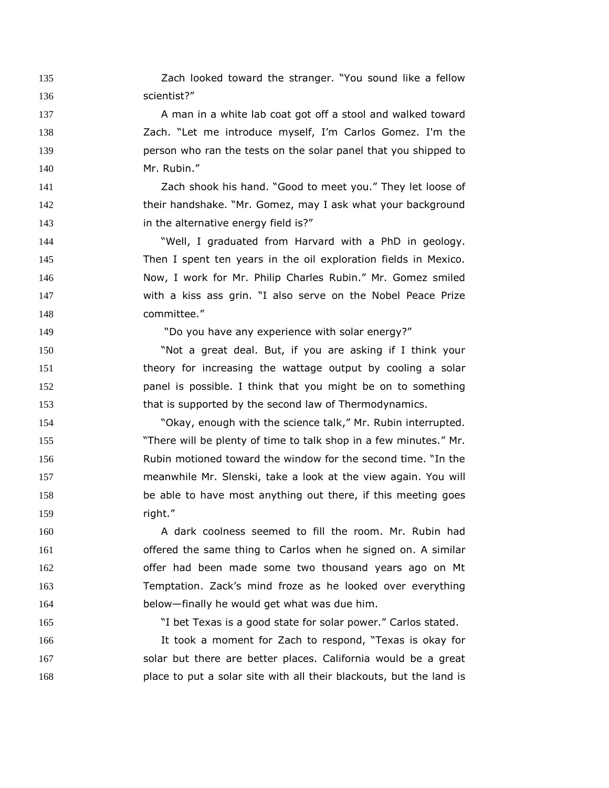Zach looked toward the stranger. "You sound like a fellow scientist?"

**A man in a white lab coat got off a stool and walked toward**  Zach. "Let me introduce myself, I'm Carlos Gomez. I'm the person who ran the tests on the solar panel that you shipped to Mr. Rubin."

 Zach shook his hand. "Good to meet you." They let loose of their handshake. "Mr. Gomez, may I ask what your background **in the alternative energy field is?"** 

 "Well, I graduated from Harvard with a PhD in geology. Then I spent ten years in the oil exploration fields in Mexico. Now, I work for Mr. Philip Charles Rubin." Mr. Gomez smiled with a kiss ass grin. "I also serve on the Nobel Peace Prize committee."

"Do you have any experience with solar energy?"

 "Not a great deal. But, if you are asking if I think your theory for increasing the wattage output by cooling a solar panel is possible. I think that you might be on to something that is supported by the second law of Thermodynamics.

 "Okay, enough with the science talk," Mr. Rubin interrupted. "There will be plenty of time to talk shop in a few minutes." Mr. Rubin motioned toward the window for the second time. "In the meanwhile Mr. Slenski, take a look at the view again. You will be able to have most anything out there, if this meeting goes right."

 A dark coolness seemed to fill the room. Mr. Rubin had offered the same thing to Carlos when he signed on. A similar offer had been made some two thousand years ago on Mt Temptation. Zack's mind froze as he looked over everything below—finally he would get what was due him.

"I bet Texas is a good state for solar power." Carlos stated.

**It took a moment for Zach to respond, "Texas is okay for**  solar but there are better places. California would be a great place to put a solar site with all their blackouts, but the land is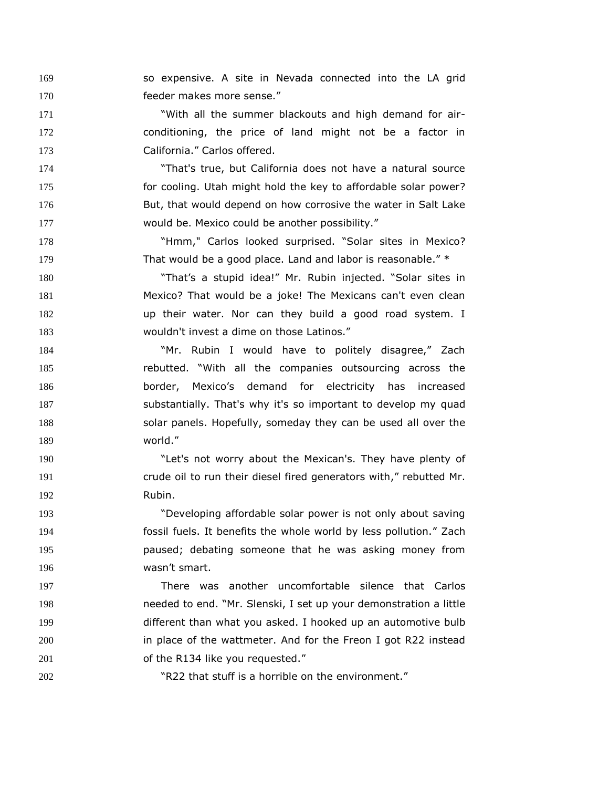so expensive. A site in Nevada connected into the LA grid feeder makes more sense."

 "With all the summer blackouts and high demand for air- conditioning, the price of land might not be a factor in California." Carlos offered.

 "That's true, but California does not have a natural source for cooling. Utah might hold the key to affordable solar power? But, that would depend on how corrosive the water in Salt Lake would be. Mexico could be another possibility."

 "Hmm," Carlos looked surprised. "Solar sites in Mexico? 179 That would be a good place. Land and labor is reasonable." \*

 "That's a stupid idea!" Mr. Rubin injected. "Solar sites in Mexico? That would be a joke! The Mexicans can't even clean up their water. Nor can they build a good road system. I wouldn't invest a dime on those Latinos."

184 "Mr. Rubin I would have to politely disagree," Zach rebutted. "With all the companies outsourcing across the border, Mexico's demand for electricity has increased substantially. That's why it's so important to develop my quad solar panels. Hopefully, someday they can be used all over the world."

 "Let's not worry about the Mexican's. They have plenty of crude oil to run their diesel fired generators with," rebutted Mr. Rubin.

 "Developing affordable solar power is not only about saving fossil fuels. It benefits the whole world by less pollution." Zach paused; debating someone that he was asking money from wasn't smart.

 There was another uncomfortable silence that Carlos needed to end. "Mr. Slenski, I set up your demonstration a little different than what you asked. I hooked up an automotive bulb in place of the wattmeter. And for the Freon I got R22 instead 201 of the R134 like you requested."

"R22 that stuff is a horrible on the environment."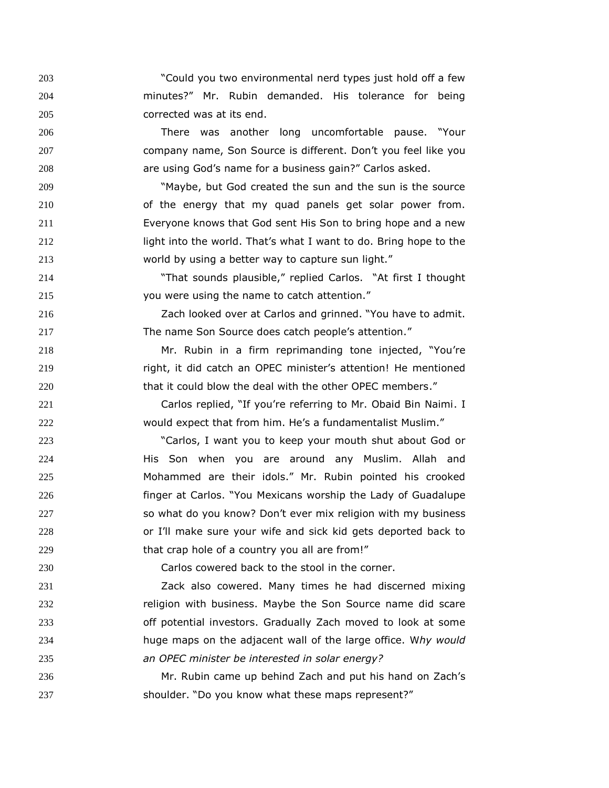"Could you two environmental nerd types just hold off a few minutes?" Mr. Rubin demanded. His tolerance for being corrected was at its end.

 There was another long uncomfortable pause. "Your company name, Son Source is different. Don't you feel like you are using God's name for a business gain?" Carlos asked.

 "Maybe, but God created the sun and the sun is the source of the energy that my quad panels get solar power from. Everyone knows that God sent His Son to bring hope and a new **light into the world. That's what I want to do. Bring hope to the** world by using a better way to capture sun light."

 "That sounds plausible," replied Carlos. "At first I thought you were using the name to catch attention."

 Zach looked over at Carlos and grinned. "You have to admit. The name Son Source does catch people's attention."

 Mr. Rubin in a firm reprimanding tone injected, "You're right, it did catch an OPEC minister's attention! He mentioned **that it could blow the deal with the other OPEC members."** 

 Carlos replied, "If you're referring to Mr. Obaid Bin Naimi. I would expect that from him. He's a fundamentalist Muslim."

 "Carlos, I want you to keep your mouth shut about God or His Son when you are around any Muslim. Allah and Mohammed are their idols." Mr. Rubin pointed his crooked finger at Carlos. "You Mexicans worship the Lady of Guadalupe 227 so what do you know? Don't ever mix religion with my business or I'll make sure your wife and sick kid gets deported back to 229 that crap hole of a country you all are from!"

Carlos cowered back to the stool in the corner.

 Zack also cowered. Many times he had discerned mixing religion with business. Maybe the Son Source name did scare off potential investors. Gradually Zach moved to look at some huge maps on the adjacent wall of the large office. W*hy would an OPEC minister be interested in solar energy?*

 Mr. Rubin came up behind Zach and put his hand on Zach's 237 shoulder. "Do you know what these maps represent?"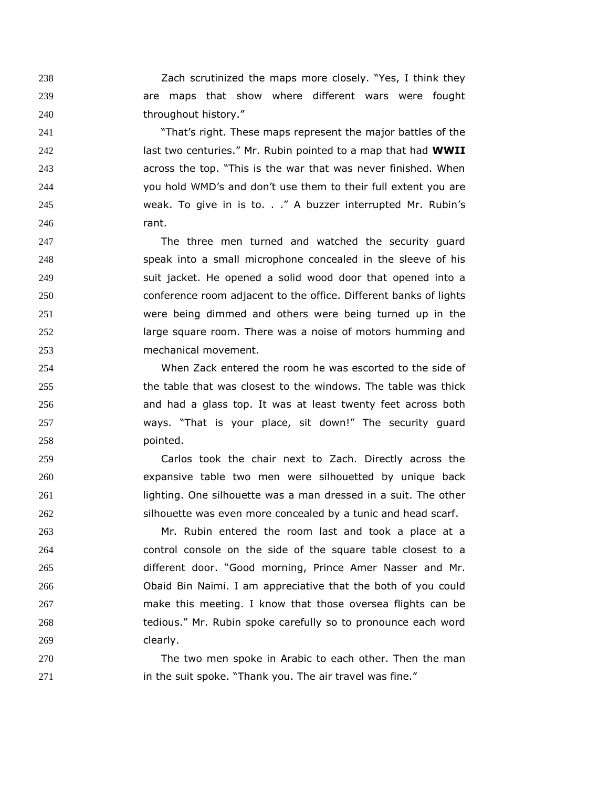Zach scrutinized the maps more closely. "Yes, I think they are maps that show where different wars were fought 240 throughout history."

 "That's right. These maps represent the major battles of the last two centuries." Mr. Rubin pointed to a map that had **WWII** across the top. "This is the war that was never finished. When you hold WMD's and don't use them to their full extent you are weak. To give in is to. . ." A buzzer interrupted Mr. Rubin's rant.

247 The three men turned and watched the security guard speak into a small microphone concealed in the sleeve of his suit jacket. He opened a solid wood door that opened into a conference room adjacent to the office. Different banks of lights were being dimmed and others were being turned up in the large square room. There was a noise of motors humming and mechanical movement.

 When Zack entered the room he was escorted to the side of the table that was closest to the windows. The table was thick and had a glass top. It was at least twenty feet across both ways. "That is your place, sit down!" The security guard pointed.

 Carlos took the chair next to Zach. Directly across the expansive table two men were silhouetted by unique back lighting. One silhouette was a man dressed in a suit. The other silhouette was even more concealed by a tunic and head scarf.

 Mr. Rubin entered the room last and took a place at a control console on the side of the square table closest to a different door. "Good morning, Prince Amer Nasser and Mr. Obaid Bin Naimi. I am appreciative that the both of you could make this meeting. I know that those oversea flights can be tedious." Mr. Rubin spoke carefully so to pronounce each word 269 clearly.

 The two men spoke in Arabic to each other. Then the man **in the suit spoke. "Thank you. The air travel was fine."**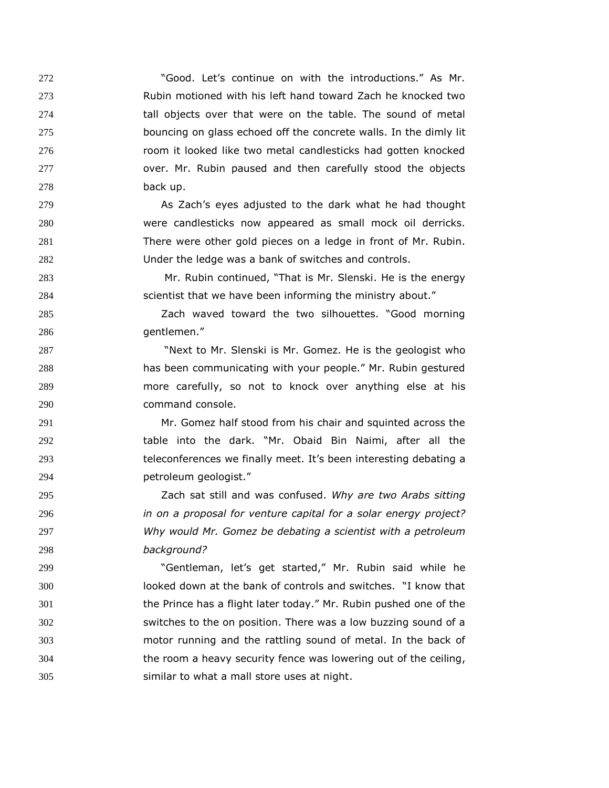"Good. Let's continue on with the introductions." As Mr. Rubin motioned with his left hand toward Zach he knocked two tall objects over that were on the table. The sound of metal bouncing on glass echoed off the concrete walls. In the dimly lit room it looked like two metal candlesticks had gotten knocked over. Mr. Rubin paused and then carefully stood the objects back up.

**As Zach's eyes adjusted to the dark what he had thought** to the dark what he had thought were candlesticks now appeared as small mock oil derricks. There were other gold pieces on a ledge in front of Mr. Rubin. Under the ledge was a bank of switches and controls.

 Mr. Rubin continued, "That is Mr. Slenski. He is the energy scientist that we have been informing the ministry about."

 Zach waved toward the two silhouettes. "Good morning gentlemen."

**Next to Mr. Slenski is Mr. Gomez. He is the geologist who**  has been communicating with your people." Mr. Rubin gestured more carefully, so not to knock over anything else at his command console.

 Mr. Gomez half stood from his chair and squinted across the 292 table into the dark. "Mr. Obaid Bin Naimi, after all the teleconferences we finally meet. It's been interesting debating a petroleum geologist."

 Zach sat still and was confused. *Why are two Arabs sitting in on a proposal for venture capital for a solar energy project? Why would Mr. Gomez be debating a scientist with a petroleum background?*

 "Gentleman, let's get started," Mr. Rubin said while he looked down at the bank of controls and switches. "I know that the Prince has a flight later today." Mr. Rubin pushed one of the switches to the on position. There was a low buzzing sound of a motor running and the rattling sound of metal. In the back of the room a heavy security fence was lowering out of the ceiling, similar to what a mall store uses at night.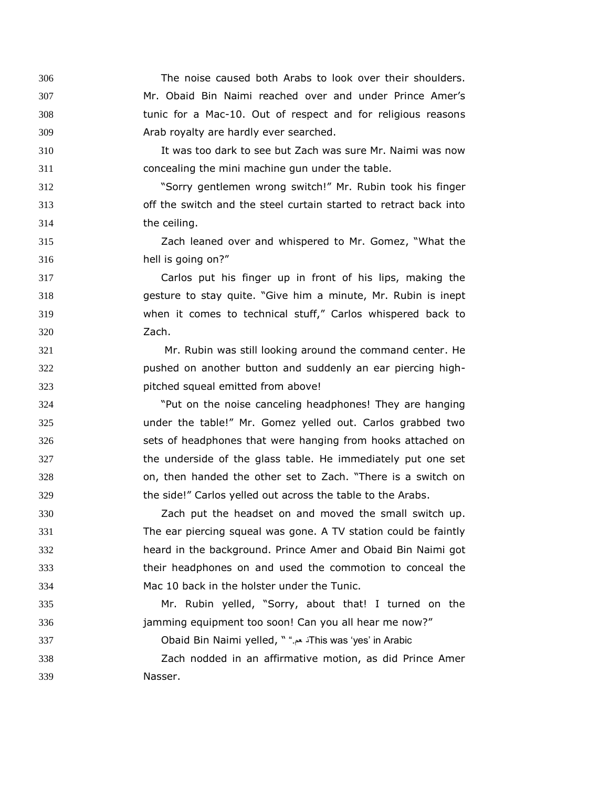The noise caused both Arabs to look over their shoulders. Mr. Obaid Bin Naimi reached over and under Prince Amer's tunic for a Mac-10. Out of respect and for religious reasons Arab royalty are hardly ever searched.

 It was too dark to see but Zach was sure Mr. Naimi was now concealing the mini machine gun under the table.

 "Sorry gentlemen wrong switch!" Mr. Rubin took his finger off the switch and the steel curtain started to retract back into the ceiling.

 Zach leaned over and whispered to Mr. Gomez, "What the hell is going on?"

 Carlos put his finger up in front of his lips, making the gesture to stay quite. "Give him a minute, Mr. Rubin is inept when it comes to technical stuff," Carlos whispered back to Zach.

 Mr. Rubin was still looking around the command center. He pushed on another button and suddenly an ear piercing high-pitched squeal emitted from above!

 "Put on the noise canceling headphones! They are hanging under the table!" Mr. Gomez yelled out. Carlos grabbed two sets of headphones that were hanging from hooks attached on the underside of the glass table. He immediately put one set on, then handed the other set to Zach. "There is a switch on the side!" Carlos yelled out across the table to the Arabs.

 Zach put the headset on and moved the small switch up. The ear piercing squeal was gone. A TV station could be faintly heard in the background. Prince Amer and Obaid Bin Naimi got their headphones on and used the commotion to conceal the Mac 10 back in the holster under the Tunic.

 Mr. Rubin yelled, "Sorry, about that! I turned on the jamming equipment too soon! Can you all hear me now?"

Obaid Bin Naimi yelled, " ".عم نThis was 'yes' in Arabic

 Zach nodded in an affirmative motion, as did Prince Amer Nasser.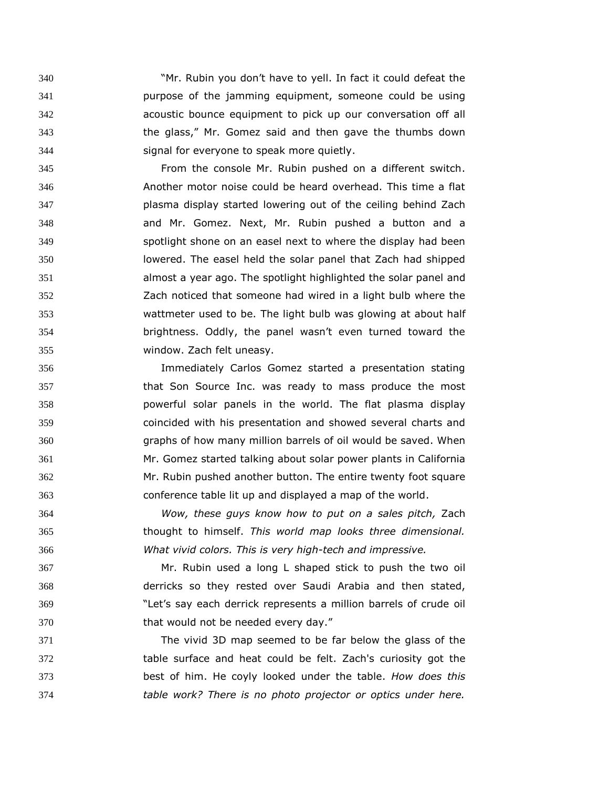"Mr. Rubin you don't have to yell. In fact it could defeat the purpose of the jamming equipment, someone could be using acoustic bounce equipment to pick up our conversation off all the glass," Mr. Gomez said and then gave the thumbs down signal for everyone to speak more quietly.

 From the console Mr. Rubin pushed on a different switch. Another motor noise could be heard overhead. This time a flat plasma display started lowering out of the ceiling behind Zach and Mr. Gomez. Next, Mr. Rubin pushed a button and a spotlight shone on an easel next to where the display had been lowered. The easel held the solar panel that Zach had shipped almost a year ago. The spotlight highlighted the solar panel and Zach noticed that someone had wired in a light bulb where the wattmeter used to be. The light bulb was glowing at about half brightness. Oddly, the panel wasn't even turned toward the window. Zach felt uneasy.

 Immediately Carlos Gomez started a presentation stating that Son Source Inc. was ready to mass produce the most powerful solar panels in the world. The flat plasma display coincided with his presentation and showed several charts and graphs of how many million barrels of oil would be saved. When Mr. Gomez started talking about solar power plants in California Mr. Rubin pushed another button. The entire twenty foot square conference table lit up and displayed a map of the world.

 *Wow, these guys know how to put on a sales pitch,* Zach thought to himself. *This world map looks three dimensional. What vivid colors. This is very high-tech and impressive.*

 Mr. Rubin used a long L shaped stick to push the two oil derricks so they rested over Saudi Arabia and then stated, "Let's say each derrick represents a million barrels of crude oil **that would not be needed every day."** 

 The vivid 3D map seemed to be far below the glass of the table surface and heat could be felt. Zach's curiosity got the best of him. He coyly looked under the table. *How does this table work? There is no photo projector or optics under here.*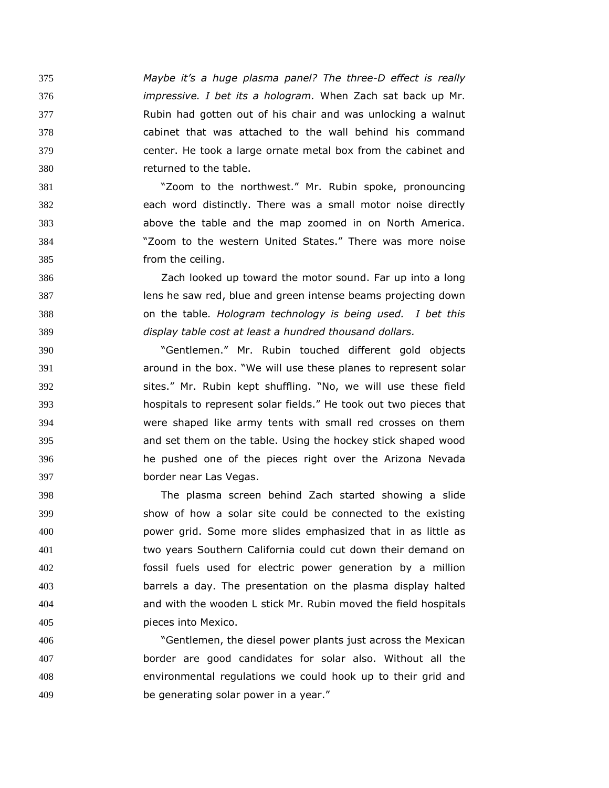*Maybe it's a huge plasma panel? The three-D effect is really impressive. I bet its a hologram.* When Zach sat back up Mr. Rubin had gotten out of his chair and was unlocking a walnut cabinet that was attached to the wall behind his command center. He took a large ornate metal box from the cabinet and returned to the table.

 "Zoom to the northwest." Mr. Rubin spoke, pronouncing each word distinctly. There was a small motor noise directly above the table and the map zoomed in on North America. "Zoom to the western United States." There was more noise from the ceiling.

 Zach looked up toward the motor sound. Far up into a long lens he saw red, blue and green intense beams projecting down on the table*. Hologram technology is being used. I bet this display table cost at least a hundred thousand dollars.*

 "Gentlemen." Mr. Rubin touched different gold objects around in the box. "We will use these planes to represent solar sites." Mr. Rubin kept shuffling. "No, we will use these field hospitals to represent solar fields." He took out two pieces that were shaped like army tents with small red crosses on them and set them on the table. Using the hockey stick shaped wood he pushed one of the pieces right over the Arizona Nevada border near Las Vegas.

 The plasma screen behind Zach started showing a slide show of how a solar site could be connected to the existing power grid. Some more slides emphasized that in as little as two years Southern California could cut down their demand on fossil fuels used for electric power generation by a million barrels a day. The presentation on the plasma display halted and with the wooden L stick Mr. Rubin moved the field hospitals pieces into Mexico.

 "Gentlemen, the diesel power plants just across the Mexican border are good candidates for solar also. Without all the environmental regulations we could hook up to their grid and be generating solar power in a year."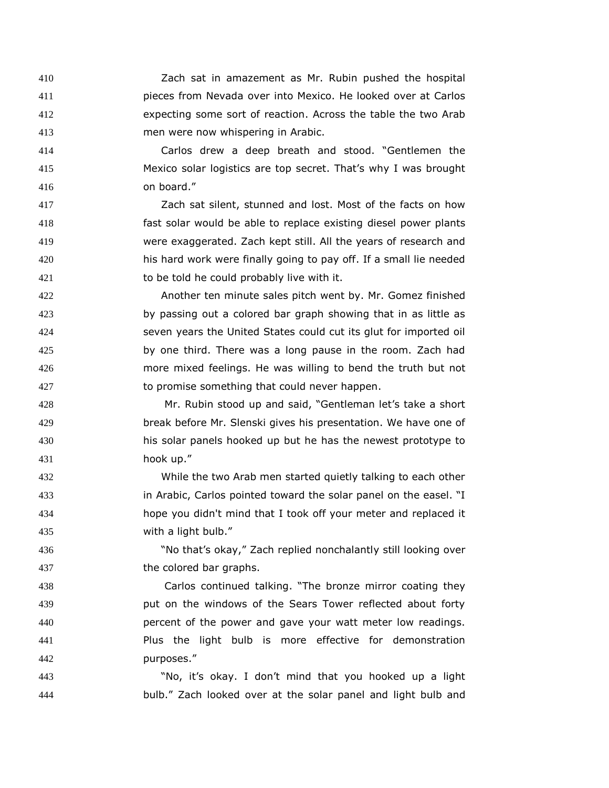Zach sat in amazement as Mr. Rubin pushed the hospital pieces from Nevada over into Mexico. He looked over at Carlos expecting some sort of reaction. Across the table the two Arab men were now whispering in Arabic.

 Carlos drew a deep breath and stood. "Gentlemen the Mexico solar logistics are top secret. That's why I was brought on board."

 Zach sat silent, stunned and lost. Most of the facts on how fast solar would be able to replace existing diesel power plants were exaggerated. Zach kept still. All the years of research and his hard work were finally going to pay off. If a small lie needed to be told he could probably live with it.

 Another ten minute sales pitch went by. Mr. Gomez finished by passing out a colored bar graph showing that in as little as seven years the United States could cut its glut for imported oil 425 by one third. There was a long pause in the room. Zach had more mixed feelings. He was willing to bend the truth but not to promise something that could never happen.

 Mr. Rubin stood up and said, "Gentleman let's take a short break before Mr. Slenski gives his presentation. We have one of his solar panels hooked up but he has the newest prototype to hook up."

 While the two Arab men started quietly talking to each other in Arabic, Carlos pointed toward the solar panel on the easel. "I hope you didn't mind that I took off your meter and replaced it with a light bulb."

 "No that's okay," Zach replied nonchalantly still looking over the colored bar graphs.

 Carlos continued talking. "The bronze mirror coating they put on the windows of the Sears Tower reflected about forty percent of the power and gave your watt meter low readings. Plus the light bulb is more effective for demonstration purposes."

 "No, it's okay. I don't mind that you hooked up a light bulb." Zach looked over at the solar panel and light bulb and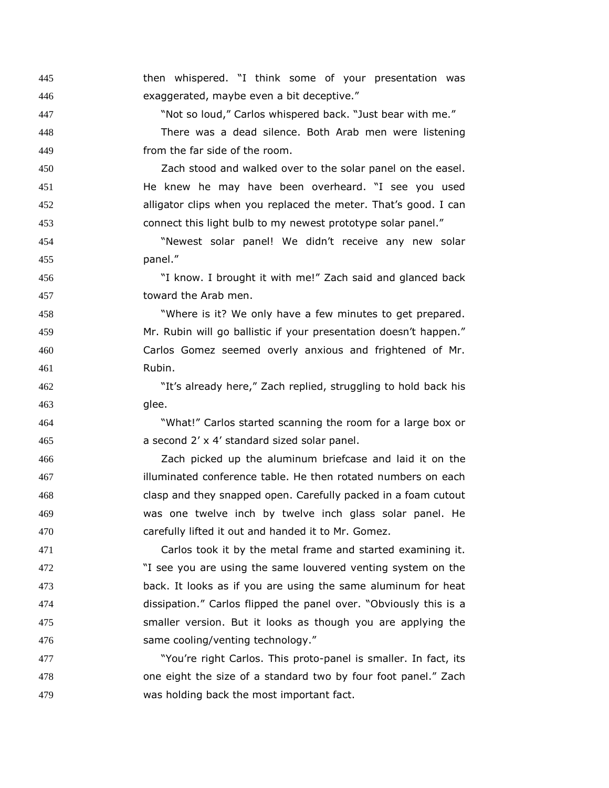then whispered. "I think some of your presentation was exaggerated, maybe even a bit deceptive."

"Not so loud," Carlos whispered back. "Just bear with me."

 There was a dead silence. Both Arab men were listening from the far side of the room.

 Zach stood and walked over to the solar panel on the easel. He knew he may have been overheard. "I see you used alligator clips when you replaced the meter. That's good. I can connect this light bulb to my newest prototype solar panel."

 "Newest solar panel! We didn't receive any new solar panel."

 "I know. I brought it with me!" Zach said and glanced back toward the Arab men.

 "Where is it? We only have a few minutes to get prepared. Mr. Rubin will go ballistic if your presentation doesn't happen." Carlos Gomez seemed overly anxious and frightened of Mr. Rubin.

 "It's already here," Zach replied, struggling to hold back his glee.

 "What!" Carlos started scanning the room for a large box or a second 2' x 4' standard sized solar panel.

 Zach picked up the aluminum briefcase and laid it on the illuminated conference table. He then rotated numbers on each clasp and they snapped open. Carefully packed in a foam cutout was one twelve inch by twelve inch glass solar panel. He carefully lifted it out and handed it to Mr. Gomez.

 Carlos took it by the metal frame and started examining it. "I see you are using the same louvered venting system on the back. It looks as if you are using the same aluminum for heat dissipation." Carlos flipped the panel over. "Obviously this is a smaller version. But it looks as though you are applying the same cooling/venting technology."

 "You're right Carlos. This proto-panel is smaller. In fact, its one eight the size of a standard two by four foot panel." Zach was holding back the most important fact.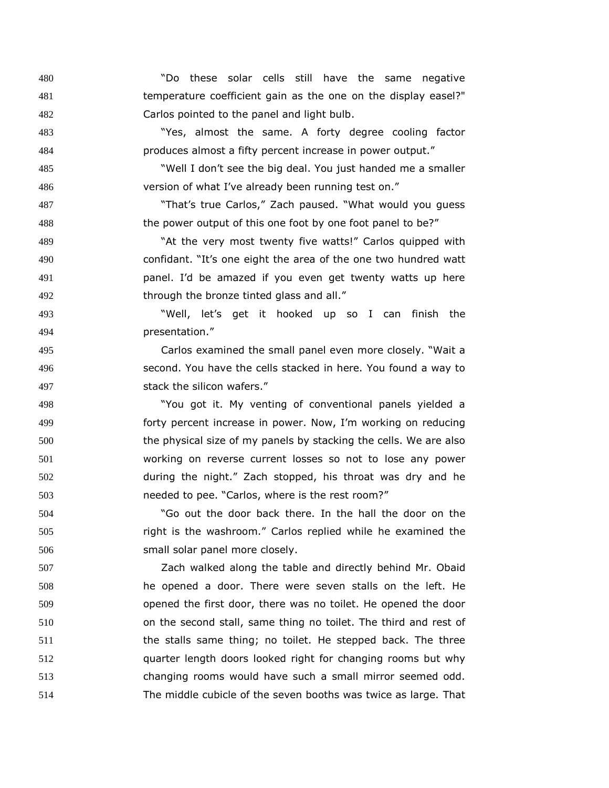"Do these solar cells still have the same negative temperature coefficient gain as the one on the display easel?" Carlos pointed to the panel and light bulb.

 "Yes, almost the same. A forty degree cooling factor produces almost a fifty percent increase in power output."

 "Well I don't see the big deal. You just handed me a smaller version of what I've already been running test on."

 "That's true Carlos," Zach paused. "What would you guess the power output of this one foot by one foot panel to be?"

 "At the very most twenty five watts!" Carlos quipped with confidant. "It's one eight the area of the one two hundred watt panel. I'd be amazed if you even get twenty watts up here 492 through the bronze tinted glass and all."

 "Well, let's get it hooked up so I can finish the presentation."

 Carlos examined the small panel even more closely. "Wait a second. You have the cells stacked in here. You found a way to **stack the silicon wafers.**"

 "You got it. My venting of conventional panels yielded a forty percent increase in power. Now, I'm working on reducing the physical size of my panels by stacking the cells. We are also working on reverse current losses so not to lose any power during the night." Zach stopped, his throat was dry and he needed to pee. "Carlos, where is the rest room?"

 "Go out the door back there. In the hall the door on the right is the washroom." Carlos replied while he examined the small solar panel more closely.

 Zach walked along the table and directly behind Mr. Obaid he opened a door. There were seven stalls on the left. He opened the first door, there was no toilet. He opened the door on the second stall, same thing no toilet. The third and rest of the stalls same thing; no toilet. He stepped back. The three quarter length doors looked right for changing rooms but why changing rooms would have such a small mirror seemed odd. The middle cubicle of the seven booths was twice as large. That